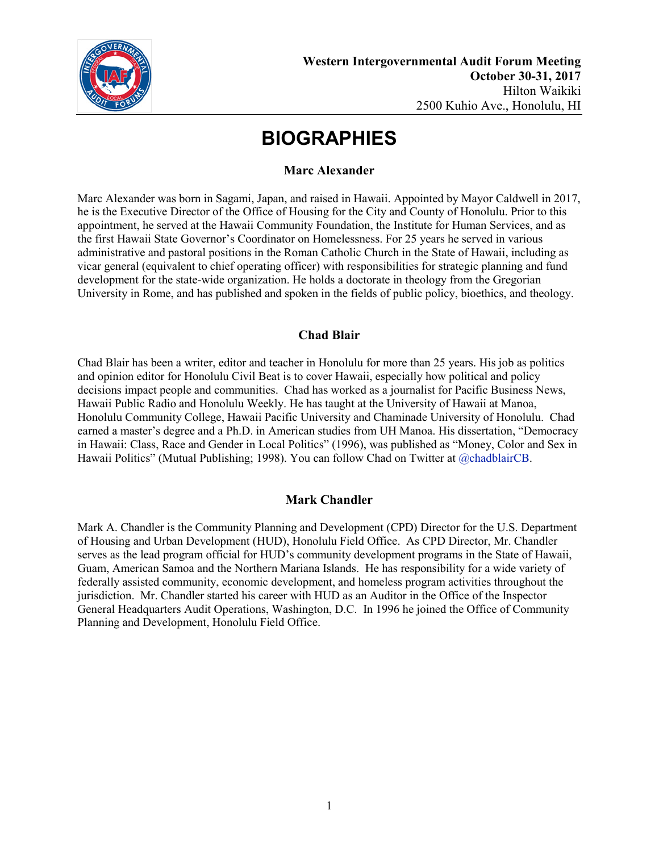

### **Marc Alexander**

Marc Alexander was born in Sagami, Japan, and raised in Hawaii. Appointed by Mayor Caldwell in 2017, he is the Executive Director of the Office of Housing for the City and County of Honolulu. Prior to this appointment, he served at the Hawaii Community Foundation, the Institute for Human Services, and as the first Hawaii State Governor's Coordinator on Homelessness. For 25 years he served in various administrative and pastoral positions in the Roman Catholic Church in the State of Hawaii, including as vicar general (equivalent to chief operating officer) with responsibilities for strategic planning and fund development for the state-wide organization. He holds a doctorate in theology from the Gregorian University in Rome, and has published and spoken in the fields of public policy, bioethics, and theology.

### **Chad Blair**

Chad Blair has been a writer, editor and teacher in Honolulu for more than 25 years. His job as politics and opinion editor for Honolulu Civil Beat is to cover Hawaii, especially how political and policy decisions impact people and communities. Chad has worked as a journalist for Pacific Business News, Hawaii Public Radio and Honolulu Weekly. He has taught at the University of Hawaii at Manoa, Honolulu Community College, Hawaii Pacific University and Chaminade University of Honolulu. Chad earned a master's degree and a Ph.D. in American studies from UH Manoa. His dissertation, "Democracy in Hawaii: Class, Race and Gender in Local Politics" (1996), was published as "Money, Color and Sex in Hawaii Politics" (Mutual Publishing; 1998). You can follow Chad on Twitter at [@chadblairCB.](http://twitter.com/chadblairCB)

### **Mark Chandler**

Mark A. Chandler is the Community Planning and Development (CPD) Director for the U.S. Department of Housing and Urban Development (HUD), Honolulu Field Office. As CPD Director, Mr. Chandler serves as the lead program official for HUD's community development programs in the State of Hawaii, Guam, American Samoa and the Northern Mariana Islands. He has responsibility for a wide variety of federally assisted community, economic development, and homeless program activities throughout the jurisdiction. Mr. Chandler started his career with HUD as an Auditor in the Office of the Inspector General Headquarters Audit Operations, Washington, D.C. In 1996 he joined the Office of Community Planning and Development, Honolulu Field Office.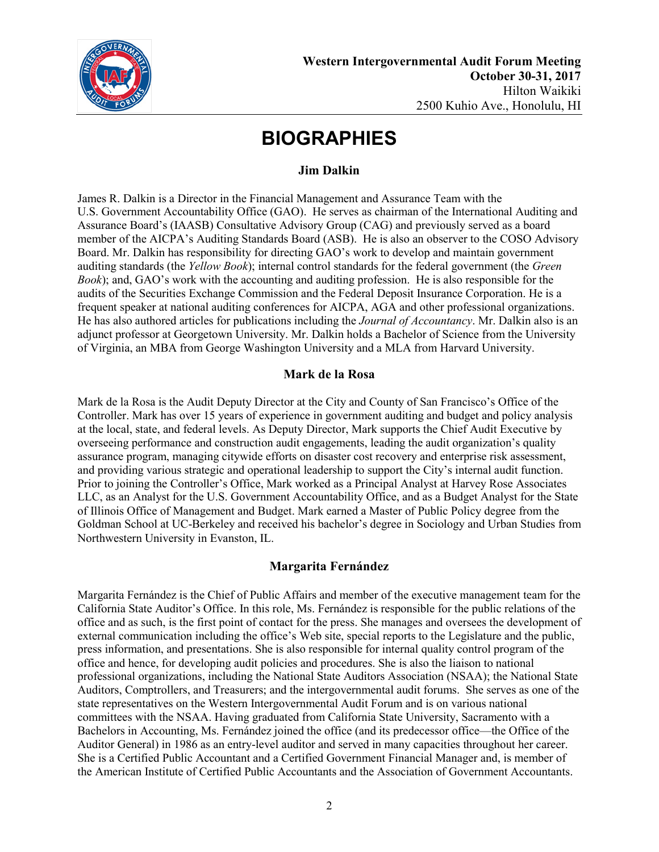

### **Jim Dalkin**

James R. Dalkin is a Director in the Financial Management and Assurance Team with the U.S. Government Accountability Office (GAO). He serves as chairman of the International Auditing and Assurance Board's (IAASB) Consultative Advisory Group (CAG) and previously served as a board member of the AICPA's Auditing Standards Board (ASB). He is also an observer to the COSO Advisory Board. Mr. Dalkin has responsibility for directing GAO's work to develop and maintain government auditing standards (the *Yellow Book*); internal control standards for the federal government (the *Green Book*); and, GAO's work with the accounting and auditing profession. He is also responsible for the audits of the Securities Exchange Commission and the Federal Deposit Insurance Corporation. He is a frequent speaker at national auditing conferences for AICPA, AGA and other professional organizations. He has also authored articles for publications including the *Journal of Accountancy*. Mr. Dalkin also is an adjunct professor at Georgetown University. Mr. Dalkin holds a Bachelor of Science from the University of Virginia, an MBA from George Washington University and a MLA from Harvard University.

### **Mark de la Rosa**

Mark de la Rosa is the Audit Deputy Director at the City and County of San Francisco's Office of the Controller. Mark has over 15 years of experience in government auditing and budget and policy analysis at the local, state, and federal levels. As Deputy Director, Mark supports the Chief Audit Executive by overseeing performance and construction audit engagements, leading the audit organization's quality assurance program, managing citywide efforts on disaster cost recovery and enterprise risk assessment, and providing various strategic and operational leadership to support the City's internal audit function. Prior to joining the Controller's Office, Mark worked as a Principal Analyst at Harvey Rose Associates LLC, as an Analyst for the U.S. Government Accountability Office, and as a Budget Analyst for the State of Illinois Office of Management and Budget. Mark earned a Master of Public Policy degree from the Goldman School at UC-Berkeley and received his bachelor's degree in Sociology and Urban Studies from Northwestern University in Evanston, IL.

### **Margarita Fernández**

Margarita Fernández is the Chief of Public Affairs and member of the executive management team for the California State Auditor's Office. In this role, Ms. Fernández is responsible for the public relations of the office and as such, is the first point of contact for the press. She manages and oversees the development of external communication including the office's Web site, special reports to the Legislature and the public, press information, and presentations. She is also responsible for internal quality control program of the office and hence, for developing audit policies and procedures. She is also the liaison to national professional organizations, including the National State Auditors Association (NSAA); the National State Auditors, Comptrollers, and Treasurers; and the intergovernmental audit forums. She serves as one of the state representatives on the Western Intergovernmental Audit Forum and is on various national committees with the NSAA. Having graduated from California State University, Sacramento with a Bachelors in Accounting, Ms. Fernández joined the office (and its predecessor office—the Office of the Auditor General) in 1986 as an entry-level auditor and served in many capacities throughout her career. She is a Certified Public Accountant and a Certified Government Financial Manager and, is member of the American Institute of Certified Public Accountants and the Association of Government Accountants.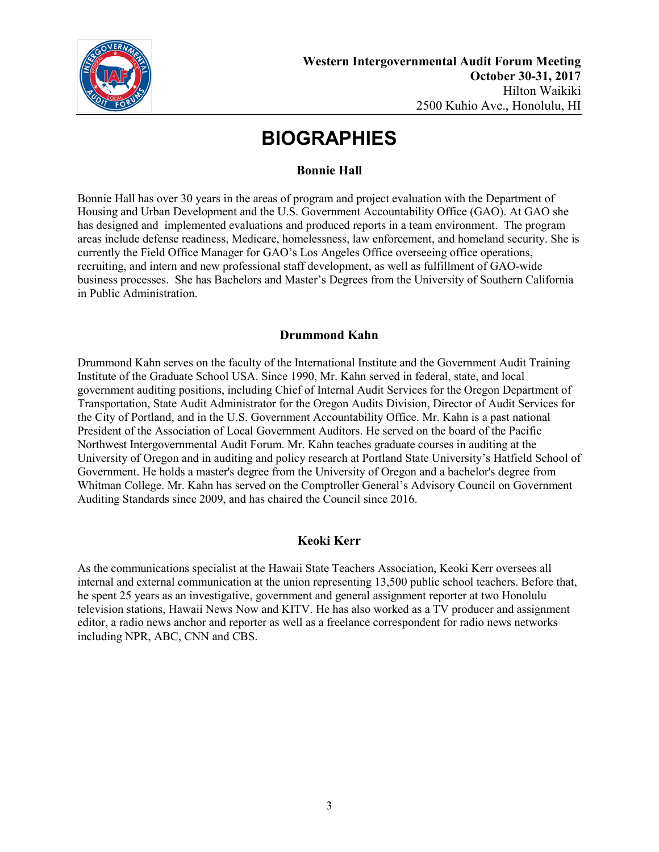

### **Bonnie Hall**

Bonnie Hall has over 30 years in the areas of program and project evaluation with the Department of Housing and Urban Development and the U.S. Government Accountability Office (GAO). At GAO she has designed and implemented evaluations and produced reports in a team environment. The program areas include defense readiness, Medicare, homelessness, law enforcement, and homeland security. She is currently the Field Office Manager for GAO's Los Angeles Office overseeing office operations, recruiting, and intern and new professional staff development, as well as fulfillment of GAO-wide business processes. She has Bachelors and Master's Degrees from the University of Southern California in Public Administration.

### **Drummond Kahn**

Drummond Kahn serves on the faculty of the International Institute and the Government Audit Training Institute of the Graduate School USA. Since 1990, Mr. Kahn served in federal, state, and local government auditing positions, including Chief of Internal Audit Services for the Oregon Department of Transportation, State Audit Administrator for the Oregon Audits Division, Director of Audit Services for the City of Portland, and in the U.S. Government Accountability Office. Mr. Kahn is a past national President of the Association of Local Government Auditors. He served on the board of the Pacific Northwest Intergovernmental Audit Forum. Mr. Kahn teaches graduate courses in auditing at the University of Oregon and in auditing and policy research at Portland State University's Hatfield School of Government. He holds a master's degree from the University of Oregon and a bachelor's degree from Whitman College. Mr. Kahn has served on the Comptroller General's Advisory Council on Government Auditing Standards since 2009, and has chaired the Council since 2016.

### **Keoki Kerr**

As the communications specialist at the Hawaii State Teachers Association, Keoki Kerr oversees all internal and external communication at the union representing 13,500 public school teachers. Before that, he spent 25 years as an investigative, government and general assignment reporter at two Honolulu television stations, Hawaii News Now and KITV. He has also worked as a TV producer and assignment editor, a radio news anchor and reporter as well as a freelance correspondent for radio news networks including NPR, ABC, CNN and CBS.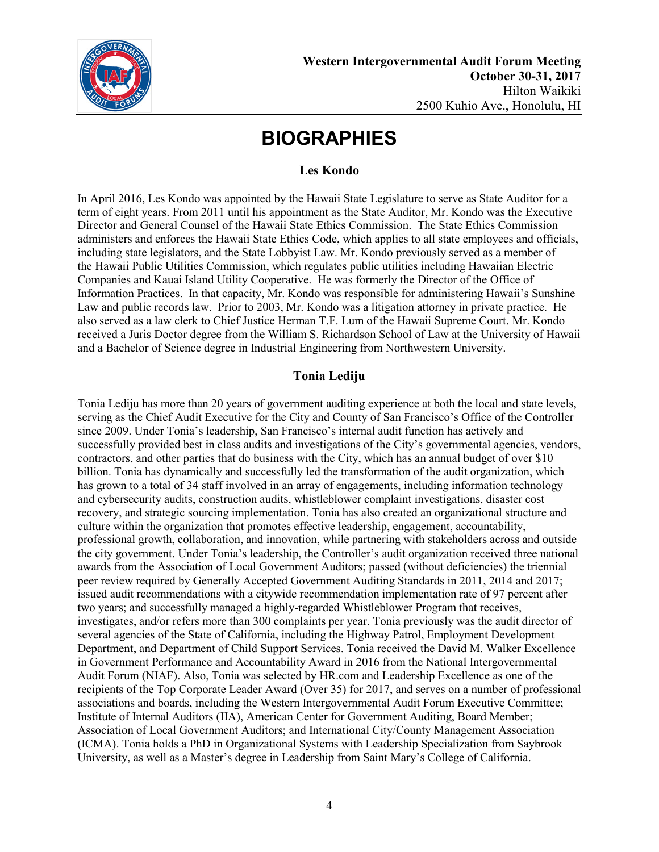

### **Les Kondo**

In April 2016, Les Kondo was appointed by the Hawaii State Legislature to serve as State Auditor for a term of eight years. From 2011 until his appointment as the State Auditor, Mr. Kondo was the Executive Director and General Counsel of the Hawaii State Ethics Commission. The State Ethics Commission administers and enforces the Hawaii State Ethics Code, which applies to all state employees and officials, including state legislators, and the State Lobbyist Law. Mr. Kondo previously served as a member of the Hawaii Public Utilities Commission, which regulates public utilities including Hawaiian Electric Companies and Kauai Island Utility Cooperative. He was formerly the Director of the Office of Information Practices. In that capacity, Mr. Kondo was responsible for administering Hawaii's Sunshine Law and public records law. Prior to 2003, Mr. Kondo was a litigation attorney in private practice. He also served as a law clerk to Chief Justice Herman T.F. Lum of the Hawaii Supreme Court. Mr. Kondo received a Juris Doctor degree from the William S. Richardson School of Law at the University of Hawaii and a Bachelor of Science degree in Industrial Engineering from Northwestern University.

## **Tonia Lediju**

Tonia Lediju has more than 20 years of government auditing experience at both the local and state levels, serving as the Chief Audit Executive for the City and County of San Francisco's Office of the Controller since 2009. Under Tonia's leadership, San Francisco's internal audit function has actively and successfully provided best in class audits and investigations of the City's governmental agencies, vendors, contractors, and other parties that do business with the City, which has an annual budget of over \$10 billion. Tonia has dynamically and successfully led the transformation of the audit organization, which has grown to a total of 34 staff involved in an array of engagements, including information technology and cybersecurity audits, construction audits, whistleblower complaint investigations, disaster cost recovery, and strategic sourcing implementation. Tonia has also created an organizational structure and culture within the organization that promotes effective leadership, engagement, accountability, professional growth, collaboration, and innovation, while partnering with stakeholders across and outside the city government. Under Tonia's leadership, the Controller's audit organization received three national awards from the Association of Local Government Auditors; passed (without deficiencies) the triennial peer review required by Generally Accepted Government Auditing Standards in 2011, 2014 and 2017; issued audit recommendations with a citywide recommendation implementation rate of 97 percent after two years; and successfully managed a highly-regarded Whistleblower Program that receives, investigates, and/or refers more than 300 complaints per year. Tonia previously was the audit director of several agencies of the State of California, including the Highway Patrol, Employment Development Department, and Department of Child Support Services. Tonia received the David M. Walker Excellence in Government Performance and Accountability Award in 2016 from the National Intergovernmental Audit Forum (NIAF). Also, Tonia was selected by HR.com and Leadership Excellence as one of the recipients of the Top Corporate Leader Award (Over 35) for 2017, and serves on a number of professional associations and boards, including the Western Intergovernmental Audit Forum Executive Committee; Institute of Internal Auditors (IIA), American Center for Government Auditing, Board Member; Association of Local Government Auditors; and International City/County Management Association (ICMA). Tonia holds a PhD in Organizational Systems with Leadership Specialization from Saybrook University, as well as a Master's degree in Leadership from Saint Mary's College of California.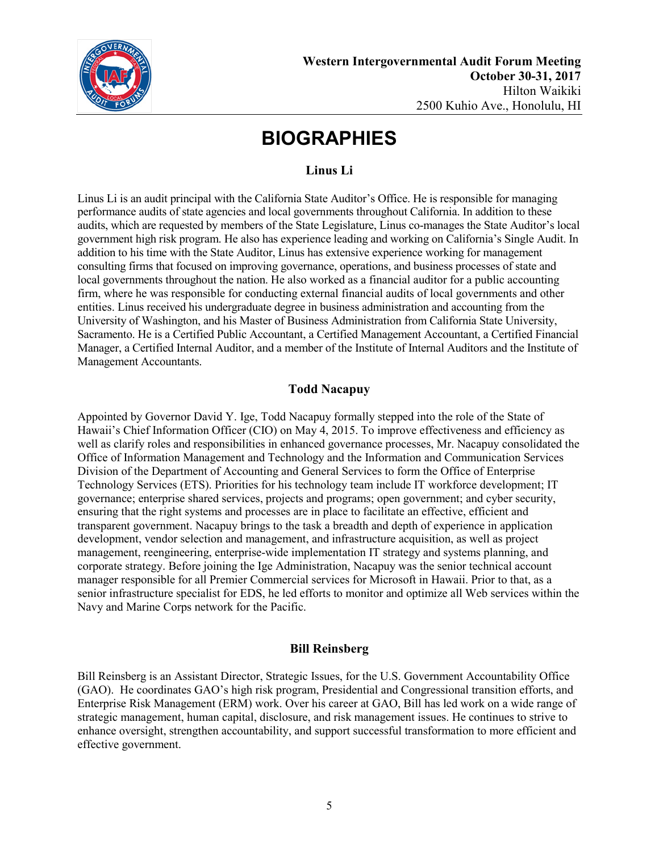

## **Linus Li**

Linus Li is an audit principal with the California State Auditor's Office. He is responsible for managing performance audits of state agencies and local governments throughout California. In addition to these audits, which are requested by members of the State Legislature, Linus co-manages the State Auditor's local government high risk program. He also has experience leading and working on California's Single Audit. In addition to his time with the State Auditor, Linus has extensive experience working for management consulting firms that focused on improving governance, operations, and business processes of state and local governments throughout the nation. He also worked as a financial auditor for a public accounting firm, where he was responsible for conducting external financial audits of local governments and other entities. Linus received his undergraduate degree in business administration and accounting from the University of Washington, and his Master of Business Administration from California State University, Sacramento. He is a Certified Public Accountant, a Certified Management Accountant, a Certified Financial Manager, a Certified Internal Auditor, and a member of the Institute of Internal Auditors and the Institute of Management Accountants.

### **Todd Nacapuy**

Appointed by Governor David Y. Ige, Todd Nacapuy formally stepped into the role of the State of Hawaii's Chief Information Officer (CIO) on May 4, 2015. To improve effectiveness and efficiency as well as clarify roles and responsibilities in enhanced governance processes, Mr. Nacapuy consolidated the Office of Information Management and Technology and the Information and Communication Services Division of the Department of Accounting and General Services to form the Office of Enterprise Technology Services (ETS). Priorities for his technology team include IT workforce development; IT governance; enterprise shared services, projects and programs; open government; and cyber security, ensuring that the right systems and processes are in place to facilitate an effective, efficient and transparent government. Nacapuy brings to the task a breadth and depth of experience in application development, vendor selection and management, and infrastructure acquisition, as well as project management, reengineering, enterprise-wide implementation IT strategy and systems planning, and corporate strategy. Before joining the Ige Administration, Nacapuy was the senior technical account manager responsible for all Premier Commercial services for Microsoft in Hawaii. Prior to that, as a senior infrastructure specialist for EDS, he led efforts to monitor and optimize all Web services within the Navy and Marine Corps network for the Pacific.

### **Bill Reinsberg**

Bill Reinsberg is an Assistant Director, Strategic Issues, for the U.S. Government Accountability Office (GAO). He coordinates GAO's high risk program, Presidential and Congressional transition efforts, and Enterprise Risk Management (ERM) work. Over his career at GAO, Bill has led work on a wide range of strategic management, human capital, disclosure, and risk management issues. He continues to strive to enhance oversight, strengthen accountability, and support successful transformation to more efficient and effective government.